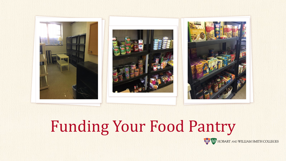

## Funding Your Food Pantry

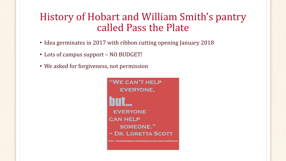#### History of Hobart and William Smith's pantry called Pass the Plate

- Idea germinates in 2017 with ribbon cutting opening January 2018
- Lots of campus support NO BUDGET!
- We asked for forgiveness, not permission

"WE CAN'T HELP **EVERYONE, EVERYONE CAN HELP SOMEONE."**  $\sim$  DR. LORETTA SCOTT

**DING-FUNDRAISING-IDEAS.COM/CH**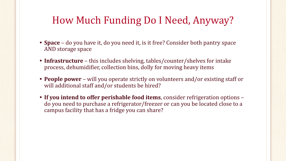### How Much Funding Do I Need, Anyway?

- **• Space** do you have it, do you need it, is it free? Consider both pantry space AND storage space
- **• Infrastructure** this includes shelving, tables/counter/shelves for intake process, dehumidifier, collection bins, dolly for moving heavy items
- **• People power**  will you operate strictly on volunteers and/or existing staff or will additional staff and/or students be hired?
- **• If you intend to offer perishable food items**, consider refrigeration options do you need to purchase a refrigerator/freezer or can you be located close to a campus facility that has a fridge you can share?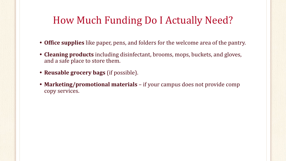### How Much Funding Do I Actually Need?

- **• Office supplies** like paper, pens, and folders for the welcome area of the pantry.
- **• Cleaning products** including disinfectant, brooms, mops, buckets, and gloves, and a safe place to store them.
- **• Reusable grocery bags** (if possible).
- **• Marketing/promotional materials**  if your campus does not provide comp copy services.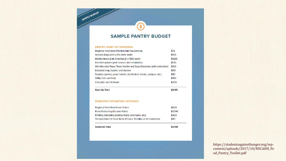#### **SAMPLE PANTRY BUDGET**

 $\mathbf{s}$ 

#### **PANTRY START-UP EXPENSES**

SAMPLE BUDGET

| <b>Start-Up Total</b>                                                  | \$2145 |
|------------------------------------------------------------------------|--------|
| Computer and Software                                                  | \$200  |
| <b>Utility Cart and Dolly</b>                                          | \$150  |
| Supplies (gloves, paper towels, disinfectant, broom, dustpan, etc.)    | \$80   |
| Industrial mop, bucket, and cleaner                                    | \$110  |
| Wall-Mounted Paper Towel Holder and Soap Dispenser (with installation) | \$100  |
| Fire Extinguisher (with bracket and installation)                      | \$130  |
| Mobile Heavy-Duty Shelving (8 @ \$150 each)                            | \$1200 |
| Grocery Bags (200 @ 50 cents each)                                     | \$100  |
| Regional Food Bank Membership Fee (Annual)                             | \$75   |

| <b>Start-Up Total</b> |  |  |
|-----------------------|--|--|
|-----------------------|--|--|

#### **SEMESTER OPERATING EXPENSES**

| Regional Food Bank Food Orders                                   | \$500  |
|------------------------------------------------------------------|--------|
| <b>Food Restocking Reserve Funds</b>                             | \$2000 |
| Printing (marketing posters, flyers, brochures, etc.)            | \$200  |
| Transportation to Food Bank (8 trips x 20 miles @ 50 cents/mile) | \$80   |

\$2780

| <b>Semester Total</b> |  |
|-----------------------|--|
|-----------------------|--|

https://studentsagainsthunger.org/wpcontent/uploads/2017/10/NSCAHH\_Fo od\_Pantry\_Toolkit.pdf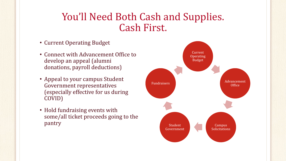#### You'll Need Both Cash and Supplies. Cash First.

- Current Operating Budget
- Connect with Advancement Office to develop an appeal (alumni donations, payroll deductions)
- Appeal to your campus Student Government representatives (especially effective for us during COVID)
- Hold fundraising events with some/all ticket proceeds going to the pantry

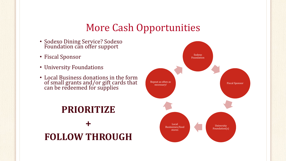#### More Cash Opportunities

- Sodexo Dining Service? Sodexo Foundation can offer support
- Fiscal Sponsor
- University Foundations
- Local Business donations in the form of small grants and/or gift cards that can be redeemed for supplies

## **PRIORITIZE + FOLLOW THROUGH**

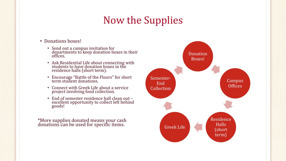## Now the Supplies

- Donations boxes!
	- Send out a campus invitation for departments to keep donation boxes in their offices.
	- Ask Residential Life about connecting with students to have donation boxes in the residence halls (short term).
	- Encourage "Battle of the Floors" for short term student donations.
	- Connect with Greek Life about a service project involving food collection.
	- End of semester residence hall clean out excellent opportunity to collect left behind goods!

\*More supplies donated means your cash donations can be used for specific items.

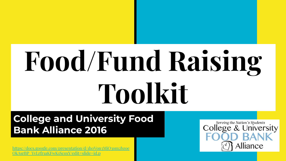# **Food/Fund Raising Toolkit**

#### **College and University Food Bank Alliance 2016**

[https://docs.google.com/presentation/d/1h0Von3MjO3om2bzoe](https://docs.google.com/presentation/d/1h0Von3MjO3om2bzoeOkAsrBP_YvLrfr1aKFwK1ScoxY/edit#slide=id.p) <u>srBP\_YvLrfr1aKFwK1ScoxY/edit#slide=id.p</u>